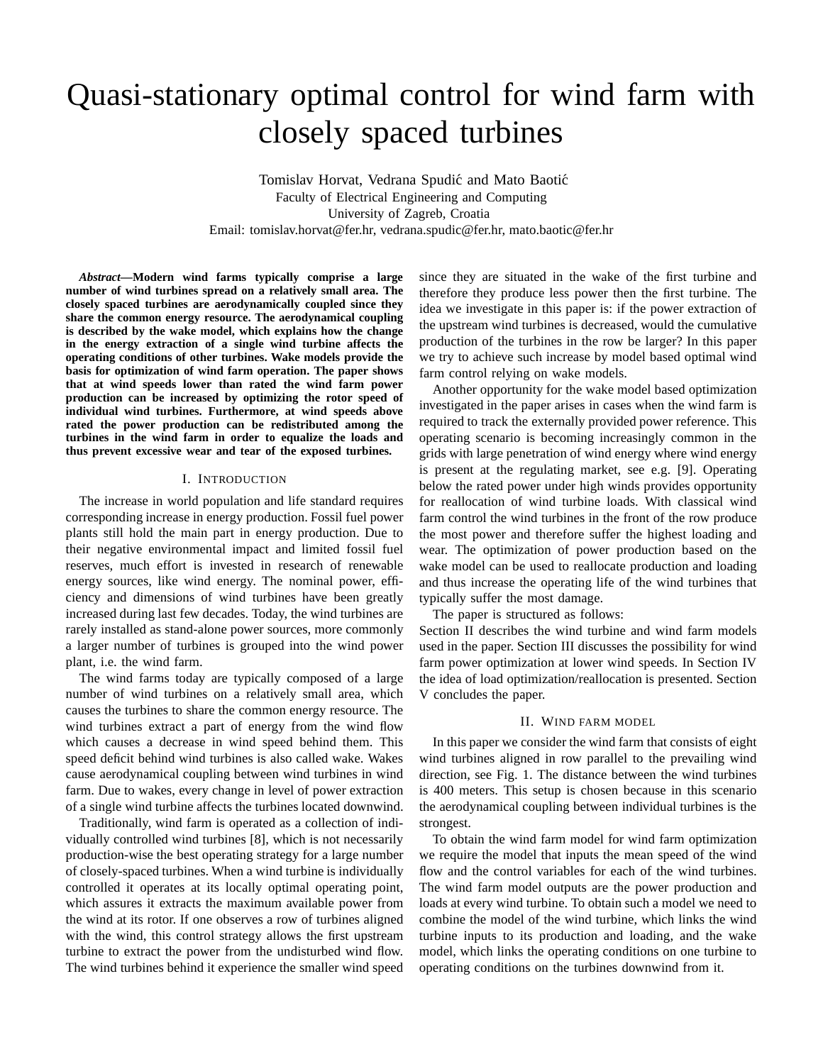# Quasi-stationary optimal control for wind farm with closely spaced turbines

Tomislav Horvat, Vedrana Spudić and Mato Baotić Faculty of Electrical Engineering and Computing University of Zagreb, Croatia Email: tomislav.horvat@fer.hr, vedrana.spudic@fer.hr, mato.baotic@fer.hr

*Abstract***—Modern wind farms typically comprise a large number of wind turbines spread on a relatively small area. The closely spaced turbines are aerodynamically coupled since they share the common energy resource. The aerodynamical coupling is described by the wake model, which explains how the change in the energy extraction of a single wind turbine affects the operating conditions of other turbines. Wake models provide the basis for optimization of wind farm operation. The paper shows that at wind speeds lower than rated the wind farm power production can be increased by optimizing the rotor speed of individual wind turbines. Furthermore, at wind speeds above rated the power production can be redistributed among the turbines in the wind farm in order to equalize the loads and thus prevent excessive wear and tear of the exposed turbines.**

# I. INTRODUCTION

The increase in world population and life standard requires corresponding increase in energy production. Fossil fuel power plants still hold the main part in energy production. Due to their negative environmental impact and limited fossil fuel reserves, much effort is invested in research of renewable energy sources, like wind energy. The nominal power, efficiency and dimensions of wind turbines have been greatly increased during last few decades. Today, the wind turbines are rarely installed as stand-alone power sources, more commonly a larger number of turbines is grouped into the wind power plant, i.e. the wind farm.

The wind farms today are typically composed of a large number of wind turbines on a relatively small area, which causes the turbines to share the common energy resource. The wind turbines extract a part of energy from the wind flow which causes a decrease in wind speed behind them. This speed deficit behind wind turbines is also called wake. Wakes cause aerodynamical coupling between wind turbines in wind farm. Due to wakes, every change in level of power extraction of a single wind turbine affects the turbines located downwind.

Traditionally, wind farm is operated as a collection of individually controlled wind turbines [8], which is not necessarily production-wise the best operating strategy for a large number of closely-spaced turbines. When a wind turbine is individually controlled it operates at its locally optimal operating point, which assures it extracts the maximum available power from the wind at its rotor. If one observes a row of turbines aligned with the wind, this control strategy allows the first upstream turbine to extract the power from the undisturbed wind flow. The wind turbines behind it experience the smaller wind speed since they are situated in the wake of the first turbine and therefore they produce less power then the first turbine. The idea we investigate in this paper is: if the power extraction of the upstream wind turbines is decreased, would the cumulative production of the turbines in the row be larger? In this paper we try to achieve such increase by model based optimal wind farm control relying on wake models.

Another opportunity for the wake model based optimization investigated in the paper arises in cases when the wind farm is required to track the externally provided power reference. This operating scenario is becoming increasingly common in the grids with large penetration of wind energy where wind energy is present at the regulating market, see e.g. [9]. Operating below the rated power under high winds provides opportunity for reallocation of wind turbine loads. With classical wind farm control the wind turbines in the front of the row produce the most power and therefore suffer the highest loading and wear. The optimization of power production based on the wake model can be used to reallocate production and loading and thus increase the operating life of the wind turbines that typically suffer the most damage.

The paper is structured as follows:

Section II describes the wind turbine and wind farm models used in the paper. Section III discusses the possibility for wind farm power optimization at lower wind speeds. In Section IV the idea of load optimization/reallocation is presented. Section V concludes the paper.

## II. WIND FARM MODEL

In this paper we consider the wind farm that consists of eight wind turbines aligned in row parallel to the prevailing wind direction, see Fig. 1. The distance between the wind turbines is 400 meters. This setup is chosen because in this scenario the aerodynamical coupling between individual turbines is the strongest.

To obtain the wind farm model for wind farm optimization we require the model that inputs the mean speed of the wind flow and the control variables for each of the wind turbines. The wind farm model outputs are the power production and loads at every wind turbine. To obtain such a model we need to combine the model of the wind turbine, which links the wind turbine inputs to its production and loading, and the wake model, which links the operating conditions on one turbine to operating conditions on the turbines downwind from it.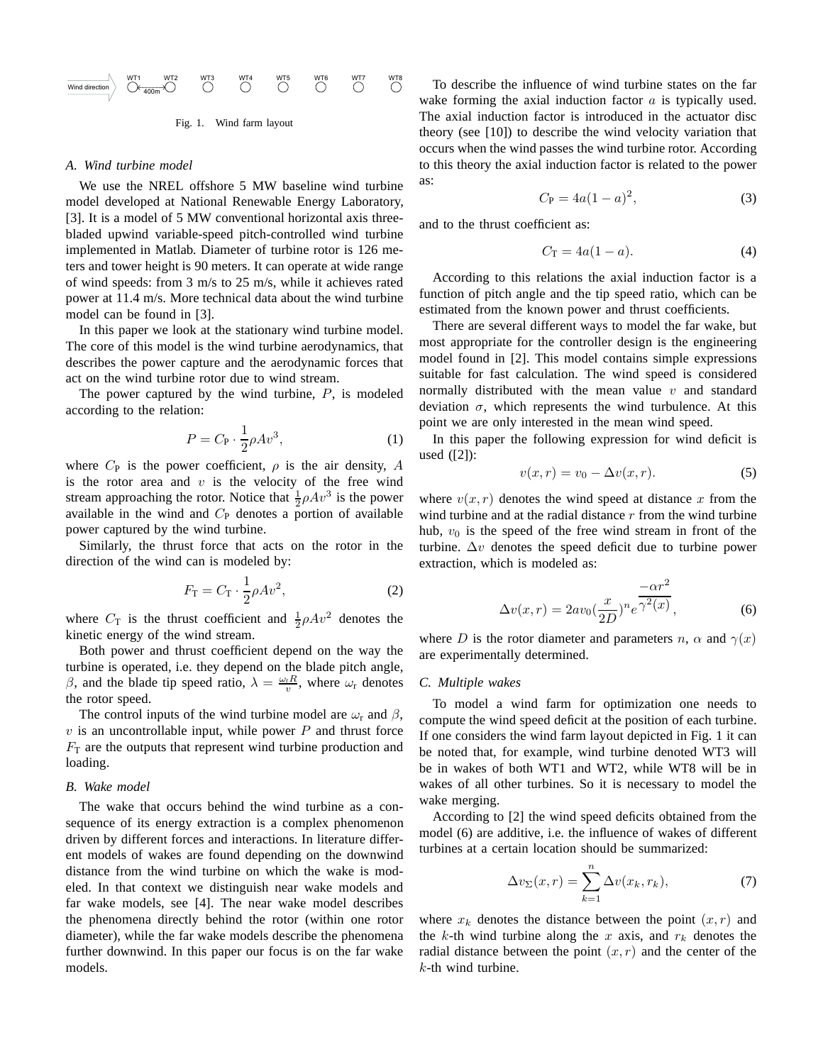

Fig. 1. Wind farm layout

#### *A. Wind turbine model*

We use the NREL offshore 5 MW baseline wind turbine model developed at National Renewable Energy Laboratory, [3]. It is a model of 5 MW conventional horizontal axis threebladed upwind variable-speed pitch-controlled wind turbine implemented in Matlab. Diameter of turbine rotor is 126 meters and tower height is 90 meters. It can operate at wide range of wind speeds: from 3 m/s to 25 m/s, while it achieves rated power at 11.4 m/s. More technical data about the wind turbine model can be found in [3].

In this paper we look at the stationary wind turbine model. The core of this model is the wind turbine aerodynamics, that describes the power capture and the aerodynamic forces that act on the wind turbine rotor due to wind stream.

The power captured by the wind turbine,  $P$ , is modeled according to the relation:

$$
P = C_{\mathbf{P}} \cdot \frac{1}{2} \rho A v^3,\tag{1}
$$

where  $C_P$  is the power coefficient,  $\rho$  is the air density, A is the rotor area and  $v$  is the velocity of the free wind stream approaching the rotor. Notice that  $\frac{1}{2}\rho Av^3$  is the power available in the wind and  $C_{P}$  denotes a portion of available power captured by the wind turbine.

Similarly, the thrust force that acts on the rotor in the direction of the wind can is modeled by:

$$
F_{\rm T} = C_{\rm T} \cdot \frac{1}{2} \rho A v^2, \qquad (2)
$$

where  $C_T$  is the thrust coefficient and  $\frac{1}{2}\rho A v^2$  denotes the kinetic energy of the wind stream.

Both power and thrust coefficient depend on the way the turbine is operated, i.e. they depend on the blade pitch angle, β, and the blade tip speed ratio,  $\lambda = \frac{\omega_r R}{v}$ , where  $\omega_r$  denotes the rotor speed.

The control inputs of the wind turbine model are  $\omega_r$  and  $\beta$ ,  $v$  is an uncontrollable input, while power  $P$  and thrust force  $F<sub>T</sub>$  are the outputs that represent wind turbine production and loading.

#### *B. Wake model*

The wake that occurs behind the wind turbine as a consequence of its energy extraction is a complex phenomenon driven by different forces and interactions. In literature different models of wakes are found depending on the downwind distance from the wind turbine on which the wake is modeled. In that context we distinguish near wake models and far wake models, see [4]. The near wake model describes the phenomena directly behind the rotor (within one rotor diameter), while the far wake models describe the phenomena further downwind. In this paper our focus is on the far wake models.

To describe the influence of wind turbine states on the far wake forming the axial induction factor  $a$  is typically used. The axial induction factor is introduced in the actuator disc theory (see [10]) to describe the wind velocity variation that occurs when the wind passes the wind turbine rotor. According to this theory the axial induction factor is related to the power as:

$$
C_{\rm P} = 4a(1-a)^2,
$$
 (3)

and to the thrust coefficient as:

$$
C_{\mathcal{T}} = 4a(1 - a). \tag{4}
$$

According to this relations the axial induction factor is a function of pitch angle and the tip speed ratio, which can be estimated from the known power and thrust coefficients.

There are several different ways to model the far wake, but most appropriate for the controller design is the engineering model found in [2]. This model contains simple expressions suitable for fast calculation. The wind speed is considered normally distributed with the mean value  $v$  and standard deviation  $\sigma$ , which represents the wind turbulence. At this point we are only interested in the mean wind speed.

In this paper the following expression for wind deficit is used ([2]):

$$
v(x,r) = v_0 - \Delta v(x,r). \tag{5}
$$

where  $v(x, r)$  denotes the wind speed at distance x from the wind turbine and at the radial distance  $r$  from the wind turbine hub,  $v_0$  is the speed of the free wind stream in front of the turbine.  $\Delta v$  denotes the speed deficit due to turbine power extraction, which is modeled as:

$$
\Delta v(x,r) = 2av_0 \left(\frac{x}{2D}\right)^n e^{\frac{-\alpha r^2}{\gamma^2(x)}},\tag{6}
$$

where D is the rotor diameter and parameters n,  $\alpha$  and  $\gamma(x)$ are experimentally determined.

#### *C. Multiple wakes*

To model a wind farm for optimization one needs to compute the wind speed deficit at the position of each turbine. If one considers the wind farm layout depicted in Fig. 1 it can be noted that, for example, wind turbine denoted WT3 will be in wakes of both WT1 and WT2, while WT8 will be in wakes of all other turbines. So it is necessary to model the wake merging.

According to [2] the wind speed deficits obtained from the model (6) are additive, i.e. the influence of wakes of different turbines at a certain location should be summarized:

$$
\Delta v_{\Sigma}(x,r) = \sum_{k=1}^{n} \Delta v(x_k, r_k),\tag{7}
$$

where  $x_k$  denotes the distance between the point  $(x, r)$  and the k-th wind turbine along the x axis, and  $r_k$  denotes the radial distance between the point  $(x, r)$  and the center of the  $k$ -th wind turbine.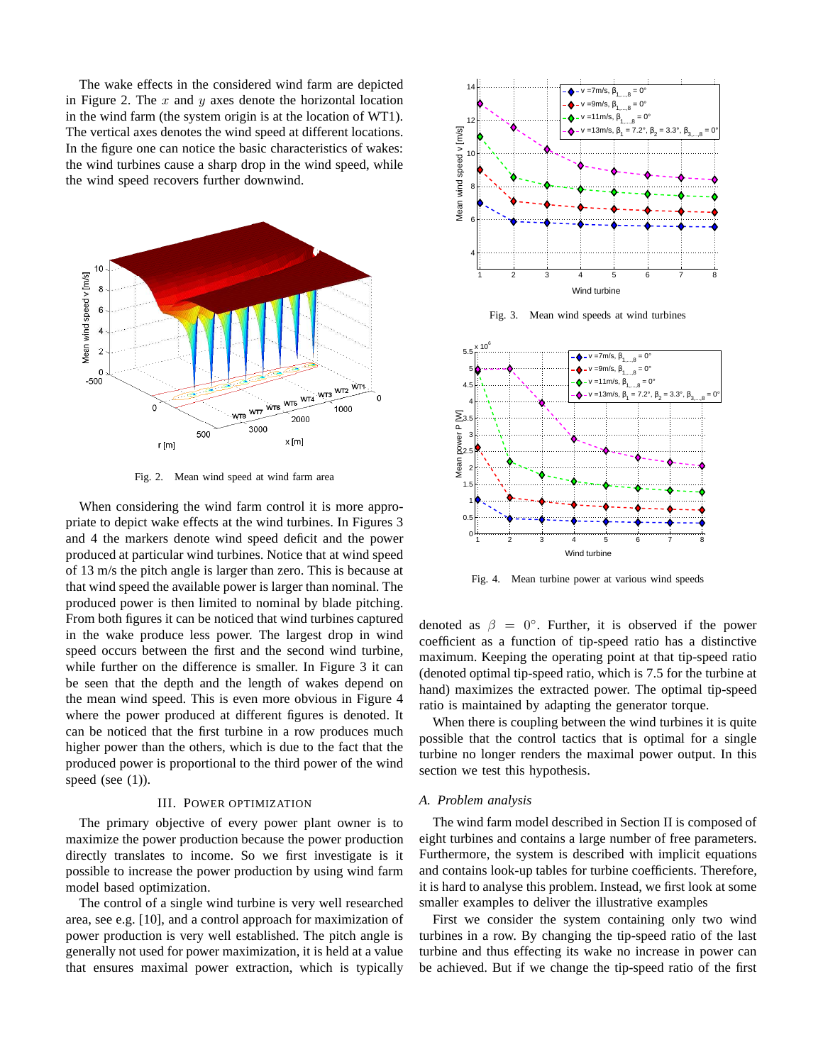The wake effects in the considered wind farm are depicted in Figure 2. The  $x$  and  $y$  axes denote the horizontal location in the wind farm (the system origin is at the location of WT1). The vertical axes denotes the wind speed at different locations. In the figure one can notice the basic characteristics of wakes: the wind turbines cause a sharp drop in the wind speed, while the wind speed recovers further downwind.



Fig. 2. Mean wind speed at wind farm area

When considering the wind farm control it is more appropriate to depict wake effects at the wind turbines. In Figures 3 and 4 the markers denote wind speed deficit and the power produced at particular wind turbines. Notice that at wind speed of 13 m/s the pitch angle is larger than zero. This is because at that wind speed the available power is larger than nominal. The produced power is then limited to nominal by blade pitching. From both figures it can be noticed that wind turbines captured in the wake produce less power. The largest drop in wind speed occurs between the first and the second wind turbine, while further on the difference is smaller. In Figure 3 it can be seen that the depth and the length of wakes depend on the mean wind speed. This is even more obvious in Figure 4 where the power produced at different figures is denoted. It can be noticed that the first turbine in a row produces much higher power than the others, which is due to the fact that the produced power is proportional to the third power of the wind speed (see  $(1)$ ).

#### III. POWER OPTIMIZATION

The primary objective of every power plant owner is to maximize the power production because the power production directly translates to income. So we first investigate is it possible to increase the power production by using wind farm model based optimization.

The control of a single wind turbine is very well researched area, see e.g. [10], and a control approach for maximization of power production is very well established. The pitch angle is generally not used for power maximization, it is held at a value that ensures maximal power extraction, which is typically



Fig. 3. Mean wind speeds at wind turbines



Fig. 4. Mean turbine power at various wind speeds

denoted as  $\beta = 0^\circ$ . Further, it is observed if the power coefficient as a function of tip-speed ratio has a distinctive maximum. Keeping the operating point at that tip-speed ratio (denoted optimal tip-speed ratio, which is 7.5 for the turbine at hand) maximizes the extracted power. The optimal tip-speed ratio is maintained by adapting the generator torque.

When there is coupling between the wind turbines it is quite possible that the control tactics that is optimal for a single turbine no longer renders the maximal power output. In this section we test this hypothesis.

#### *A. Problem analysis*

The wind farm model described in Section II is composed of eight turbines and contains a large number of free parameters. Furthermore, the system is described with implicit equations and contains look-up tables for turbine coefficients. Therefore, it is hard to analyse this problem. Instead, we first look at some smaller examples to deliver the illustrative examples

First we consider the system containing only two wind turbines in a row. By changing the tip-speed ratio of the last turbine and thus effecting its wake no increase in power can be achieved. But if we change the tip-speed ratio of the first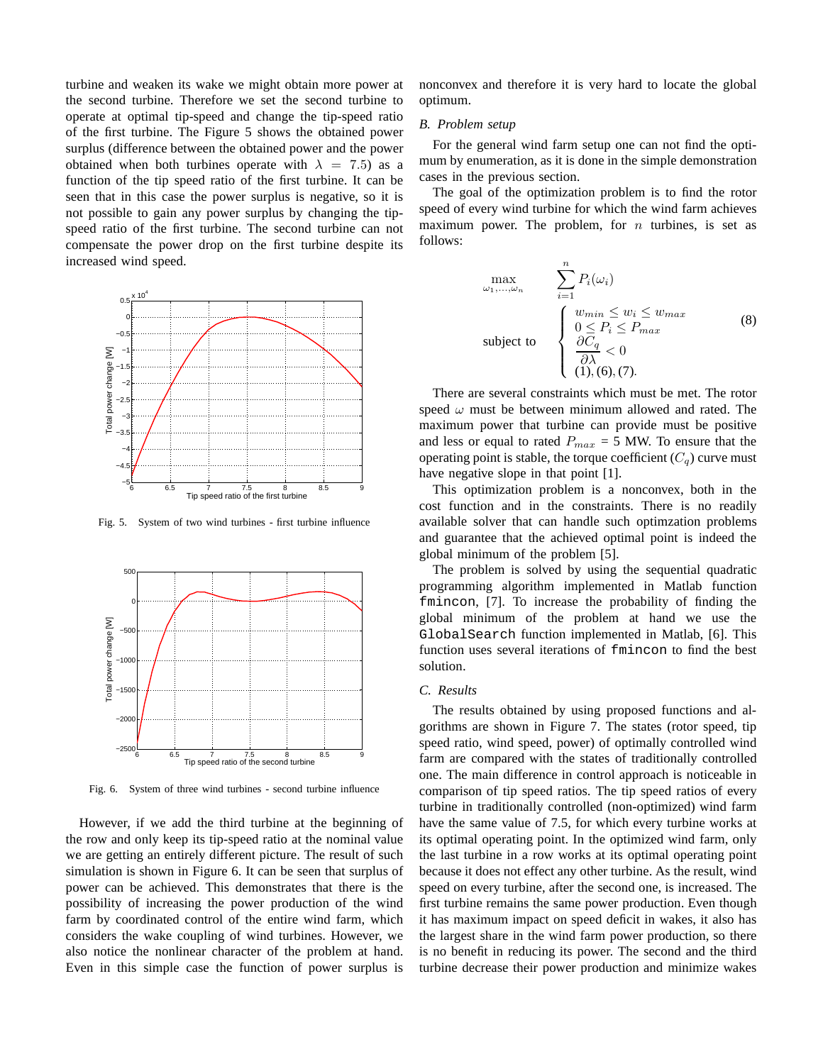turbine and weaken its wake we might obtain more power at the second turbine. Therefore we set the second turbine to operate at optimal tip-speed and change the tip-speed ratio of the first turbine. The Figure 5 shows the obtained power surplus (difference between the obtained power and the power obtained when both turbines operate with  $\lambda = 7.5$ ) as a function of the tip speed ratio of the first turbine. It can be seen that in this case the power surplus is negative, so it is not possible to gain any power surplus by changing the tipspeed ratio of the first turbine. The second turbine can not compensate the power drop on the first turbine despite its increased wind speed.



Fig. 5. System of two wind turbines - first turbine influence



Fig. 6. System of three wind turbines - second turbine influence

However, if we add the third turbine at the beginning of the row and only keep its tip-speed ratio at the nominal value we are getting an entirely different picture. The result of such simulation is shown in Figure 6. It can be seen that surplus of power can be achieved. This demonstrates that there is the possibility of increasing the power production of the wind farm by coordinated control of the entire wind farm, which considers the wake coupling of wind turbines. However, we also notice the nonlinear character of the problem at hand. Even in this simple case the function of power surplus is

nonconvex and therefore it is very hard to locate the global optimum.

### *B. Problem setup*

For the general wind farm setup one can not find the optimum by enumeration, as it is done in the simple demonstration cases in the previous section.

The goal of the optimization problem is to find the rotor speed of every wind turbine for which the wind farm achieves maximum power. The problem, for  $n$  turbines, is set as follows:

$$
\max_{\omega_1,\dots,\omega_n} \sum_{i=1}^n P_i(\omega_i)
$$
\nsubject to\n
$$
\begin{cases}\n w_{min} \leq w_i \leq w_{max} \\
 0 \leq P_i \leq P_{max} \\
 \frac{\partial C_q}{\partial \lambda} < 0 \\
 (1), (6), (7).\n\end{cases}
$$
\n
$$
(8)
$$

There are several constraints which must be met. The rotor speed  $\omega$  must be between minimum allowed and rated. The maximum power that turbine can provide must be positive and less or equal to rated  $P_{max} = 5$  MW. To ensure that the operating point is stable, the torque coefficient  $(C_q)$  curve must have negative slope in that point [1].

This optimization problem is a nonconvex, both in the cost function and in the constraints. There is no readily available solver that can handle such optimzation problems and guarantee that the achieved optimal point is indeed the global minimum of the problem [5].

The problem is solved by using the sequential quadratic programming algorithm implemented in Matlab function fmincon, [7]. To increase the probability of finding the global minimum of the problem at hand we use the GlobalSearch function implemented in Matlab, [6]. This function uses several iterations of fmincon to find the best solution.

## *C. Results*

The results obtained by using proposed functions and algorithms are shown in Figure 7. The states (rotor speed, tip speed ratio, wind speed, power) of optimally controlled wind farm are compared with the states of traditionally controlled one. The main difference in control approach is noticeable in comparison of tip speed ratios. The tip speed ratios of every turbine in traditionally controlled (non-optimized) wind farm have the same value of 7.5, for which every turbine works at its optimal operating point. In the optimized wind farm, only the last turbine in a row works at its optimal operating point because it does not effect any other turbine. As the result, wind speed on every turbine, after the second one, is increased. The first turbine remains the same power production. Even though it has maximum impact on speed deficit in wakes, it also has the largest share in the wind farm power production, so there is no benefit in reducing its power. The second and the third turbine decrease their power production and minimize wakes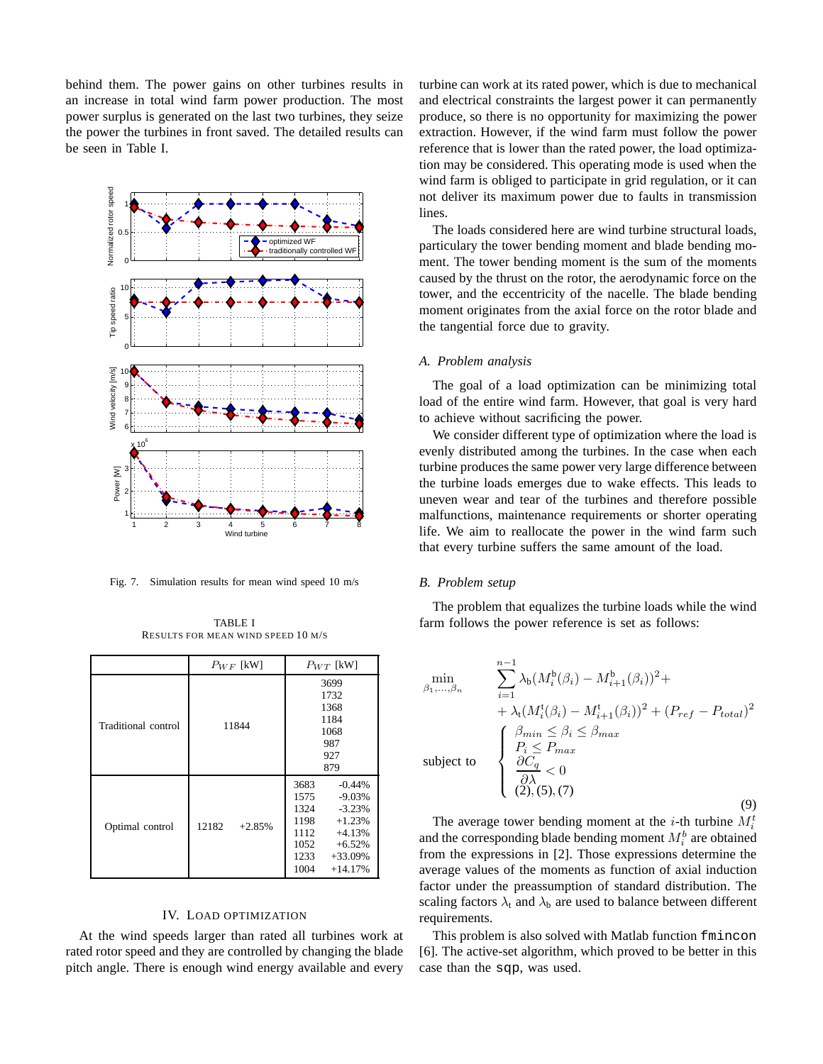behind them. The power gains on other turbines results in an increase in total wind farm power production. The most power surplus is generated on the last two turbines, they seize the power the turbines in front saved. The detailed results can be seen in Table I.



Fig. 7. Simulation results for mean wind speed 10 m/s

TABLE I RESULTS FOR MEAN WIND SPEED 10 M/S

|                     | $P_{WF}$ [kW]     | $P_{WT}$ [kW]                                                                                                                                                  |
|---------------------|-------------------|----------------------------------------------------------------------------------------------------------------------------------------------------------------|
| Traditional control | 11844             | 3699<br>1732<br>1368<br>1184<br>1068<br>987<br>927<br>879                                                                                                      |
| Optimal control     | 12182<br>$+2.85%$ | 3683<br>$-0.44%$<br>$-9.03%$<br>1575<br>1324<br>$-3.23%$<br>1198<br>$+1.23%$<br>1112<br>$+4.13%$<br>1052<br>$+6.52%$<br>1233<br>$+33.09%$<br>1004<br>$+14.17%$ |

# IV. LOAD OPTIMIZATION

At the wind speeds larger than rated all turbines work at rated rotor speed and they are controlled by changing the blade pitch angle. There is enough wind energy available and every turbine can work at its rated power, which is due to mechanical and electrical constraints the largest power it can permanently produce, so there is no opportunity for maximizing the power extraction. However, if the wind farm must follow the power reference that is lower than the rated power, the load optimization may be considered. This operating mode is used when the wind farm is obliged to participate in grid regulation, or it can not deliver its maximum power due to faults in transmission lines.

The loads considered here are wind turbine structural loads, particulary the tower bending moment and blade bending moment. The tower bending moment is the sum of the moments caused by the thrust on the rotor, the aerodynamic force on the tower, and the eccentricity of the nacelle. The blade bending moment originates from the axial force on the rotor blade and the tangential force due to gravity.

# *A. Problem analysis*

The goal of a load optimization can be minimizing total load of the entire wind farm. However, that goal is very hard to achieve without sacrificing the power.

We consider different type of optimization where the load is evenly distributed among the turbines. In the case when each turbine produces the same power very large difference between the turbine loads emerges due to wake effects. This leads to uneven wear and tear of the turbines and therefore possible malfunctions, maintenance requirements or shorter operating life. We aim to reallocate the power in the wind farm such that every turbine suffers the same amount of the load.

# *B. Problem setup*

The problem that equalizes the turbine loads while the wind farm follows the power reference is set as follows:

$$
\min_{\beta_1,\ldots,\beta_n} \qquad \sum_{i=1}^{n-1} \lambda_b (M_i^b(\beta_i) - M_{i+1}^b(\beta_i))^2 + \n+ \lambda_t (M_i^t(\beta_i) - M_{i+1}^t(\beta_i))^2 + (P_{ref} - P_{total})^2 \n\text{subject to}\n\qquad\n\begin{cases}\n\beta_{min} \leq \beta_i \leq \beta_{max} \\
P_i \leq P_{max} \\
\frac{\partial C_q}{\partial \lambda} < 0 \\
(2), (5), (7)\n\end{cases}\n\tag{9}
$$

The average tower bending moment at the *i*-th turbine  $M_i^t$ and the corresponding blade bending moment  $M_i^b$  are obtained from the expressions in [2]. Those expressions determine the average values of the moments as function of axial induction factor under the preassumption of standard distribution. The scaling factors  $\lambda_t$  and  $\lambda_b$  are used to balance between different requirements.

This problem is also solved with Matlab function fmincon [6]. The active-set algorithm, which proved to be better in this case than the sqp, was used.